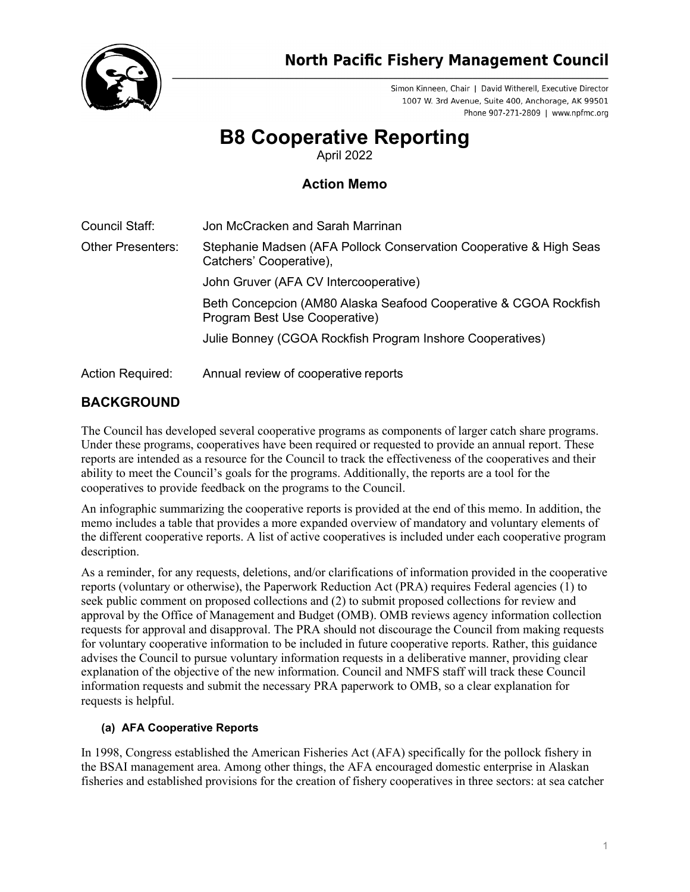

Simon Kinneen, Chair | David Witherell, Executive Director 1007 W. 3rd Avenue, Suite 400, Anchorage, AK 99501 Phone 907-271-2809 | www.npfmc.org

# **B8 Cooperative Reporting**

April 2022

### **Action Memo**

| Council Staff:           | Jon McCracken and Sarah Marrinan                                                                  |
|--------------------------|---------------------------------------------------------------------------------------------------|
| <b>Other Presenters:</b> | Stephanie Madsen (AFA Pollock Conservation Cooperative & High Seas<br>Catchers' Cooperative),     |
|                          | John Gruver (AFA CV Intercooperative)                                                             |
|                          | Beth Concepcion (AM80 Alaska Seafood Cooperative & CGOA Rockfish<br>Program Best Use Cooperative) |
|                          | Julie Bonney (CGOA Rockfish Program Inshore Cooperatives)                                         |
| <b>Action Required:</b>  | Annual review of cooperative reports                                                              |

## **BACKGROUND**

The Council has developed several cooperative programs as components of larger catch share programs. Under these programs, cooperatives have been required or requested to provide an annual report. These reports are intended as a resource for the Council to track the effectiveness of the cooperatives and their ability to meet the Council's goals for the programs. Additionally, the reports are a tool for the cooperatives to provide feedback on the programs to the Council.

An infographic summarizing the cooperative reports is provided at the end of this memo. In addition, the memo includes a table that provides a more expanded overview of mandatory and voluntary elements of the different cooperative reports. A list of active cooperatives is included under each cooperative program description.

As a reminder, for any requests, deletions, and/or clarifications of information provided in the cooperative reports (voluntary or otherwise), the Paperwork Reduction Act (PRA) requires Federal agencies (1) to seek public comment on proposed collections and (2) to submit proposed collections for review and approval by the Office of Management and Budget (OMB). OMB reviews agency information collection requests for approval and disapproval. The PRA should not discourage the Council from making requests for voluntary cooperative information to be included in future cooperative reports. Rather, this guidance advises the Council to pursue voluntary information requests in a deliberative manner, providing clear explanation of the objective of the new information. Council and NMFS staff will track these Council information requests and submit the necessary PRA paperwork to OMB, so a clear explanation for requests is helpful.

#### **(a) AFA Cooperative Reports**

In 1998, Congress established the American Fisheries Act (AFA) specifically for the pollock fishery in the BSAI management area. Among other things, the AFA encouraged domestic enterprise in Alaskan fisheries and established provisions for the creation of fishery cooperatives in three sectors: at sea catcher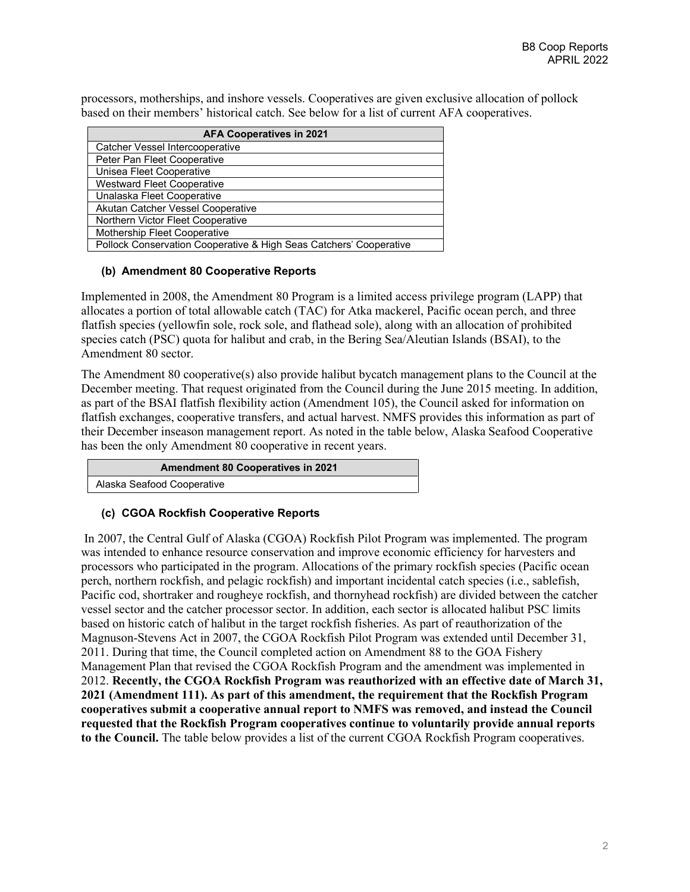processors, motherships, and inshore vessels. Cooperatives are given exclusive allocation of pollock based on their members' historical catch. See below for a list of current AFA cooperatives.

| <b>AFA Cooperatives in 2021</b>                                    |  |  |
|--------------------------------------------------------------------|--|--|
| Catcher Vessel Intercooperative                                    |  |  |
| Peter Pan Fleet Cooperative                                        |  |  |
| Unisea Fleet Cooperative                                           |  |  |
| <b>Westward Fleet Cooperative</b>                                  |  |  |
| Unalaska Fleet Cooperative                                         |  |  |
| Akutan Catcher Vessel Cooperative                                  |  |  |
| Northern Victor Fleet Cooperative                                  |  |  |
| Mothership Fleet Cooperative                                       |  |  |
| Pollock Conservation Cooperative & High Seas Catchers' Cooperative |  |  |

#### **(b) Amendment 80 Cooperative Reports**

Implemented in 2008, the Amendment 80 Program is a limited access privilege program (LAPP) that allocates a portion of total allowable catch (TAC) for Atka mackerel, Pacific ocean perch, and three flatfish species (yellowfin sole, rock sole, and flathead sole), along with an allocation of prohibited species catch (PSC) quota for halibut and crab, in the Bering Sea/Aleutian Islands (BSAI), to the Amendment 80 sector.

The Amendment 80 cooperative(s) also provide halibut bycatch management plans to the Council at the December meeting. That request originated from the Council during the June 2015 meeting. In addition, as part of the BSAI flatfish flexibility action (Amendment 105), the Council asked for information on flatfish exchanges, cooperative transfers, and actual harvest. NMFS provides this information as part of their December inseason management report. As noted in the table below, Alaska Seafood Cooperative has been the only Amendment 80 cooperative in recent years.

**Amendment 80 Cooperatives in 2021**

Alaska Seafood Cooperative

#### **(c) CGOA Rockfish Cooperative Reports**

In 2007, the Central Gulf of Alaska (CGOA) Rockfish Pilot Program was implemented. The program was intended to enhance resource conservation and improve economic efficiency for harvesters and processors who participated in the program. Allocations of the primary rockfish species (Pacific ocean perch, northern rockfish, and pelagic rockfish) and important incidental catch species (i.e., sablefish, Pacific cod, shortraker and rougheye rockfish, and thornyhead rockfish) are divided between the catcher vessel sector and the catcher processor sector. In addition, each sector is allocated halibut PSC limits based on historic catch of halibut in the target rockfish fisheries. As part of reauthorization of the Magnuson-Stevens Act in 2007, the CGOA Rockfish Pilot Program was extended until December 31, 2011. During that time, the Council completed action on Amendment 88 to the GOA Fishery Management Plan that revised the CGOA Rockfish Program and the amendment was implemented in 2012. **Recently, the CGOA Rockfish Program was reauthorized with an effective date of March 31, 2021 (Amendment 111). As part of this amendment, the requirement that the Rockfish Program cooperatives submit a cooperative annual report to NMFS was removed, and instead the Council requested that the Rockfish Program cooperatives continue to voluntarily provide annual reports to the Council.** The table below provides a list of the current CGOA Rockfish Program cooperatives.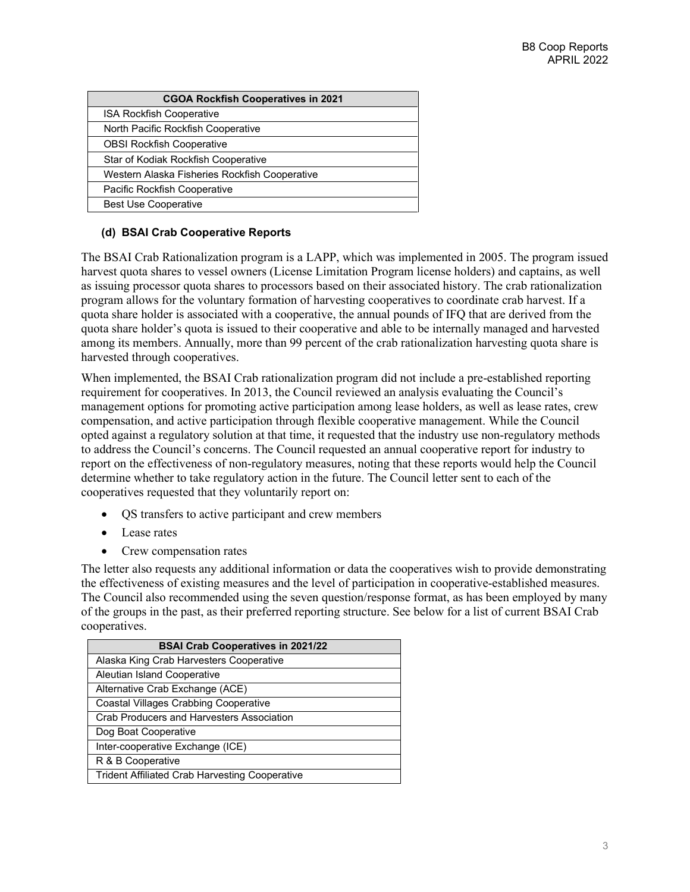| <b>CGOA Rockfish Cooperatives in 2021</b>     |  |  |
|-----------------------------------------------|--|--|
| <b>ISA Rockfish Cooperative</b>               |  |  |
| North Pacific Rockfish Cooperative            |  |  |
| <b>OBSI Rockfish Cooperative</b>              |  |  |
| Star of Kodiak Rockfish Cooperative           |  |  |
| Western Alaska Fisheries Rockfish Cooperative |  |  |
| Pacific Rockfish Cooperative                  |  |  |
| <b>Best Use Cooperative</b>                   |  |  |

#### **(d) BSAI Crab Cooperative Reports**

The BSAI Crab Rationalization program is a LAPP, which was implemented in 2005. The program issued harvest quota shares to vessel owners (License Limitation Program license holders) and captains, as well as issuing processor quota shares to processors based on their associated history. The crab rationalization program allows for the voluntary formation of harvesting cooperatives to coordinate crab harvest. If a quota share holder is associated with a cooperative, the annual pounds of IFQ that are derived from the quota share holder's quota is issued to their cooperative and able to be internally managed and harvested among its members. Annually, more than 99 percent of the crab rationalization harvesting quota share is harvested through cooperatives.

When implemented, the BSAI Crab rationalization program did not include a pre-established reporting requirement for cooperatives. In 2013, the Council reviewed an analysis evaluating the Council's management options for promoting active participation among lease holders, as well as lease rates, crew compensation, and active participation through flexible cooperative management. While the Council opted against a regulatory solution at that time, it requested that the industry use non-regulatory methods to address the Council's concerns. The Council requested an annual cooperative report for industry to report on the effectiveness of non-regulatory measures, noting that these reports would help the Council determine whether to take regulatory action in the future. The Council letter sent to each of the cooperatives requested that they voluntarily report on:

- QS transfers to active participant and crew members
- Lease rates
- Crew compensation rates

The letter also requests any additional information or data the cooperatives wish to provide demonstrating the effectiveness of existing measures and the level of participation in cooperative-established measures. The Council also recommended using the seven question/response format, as has been employed by many of the groups in the past, as their preferred reporting structure. See below for a list of current BSAI Crab cooperatives.

| <b>BSAI Crab Cooperatives in 2021/22</b>              |  |  |
|-------------------------------------------------------|--|--|
| Alaska King Crab Harvesters Cooperative               |  |  |
| Aleutian Island Cooperative                           |  |  |
| Alternative Crab Exchange (ACE)                       |  |  |
| <b>Coastal Villages Crabbing Cooperative</b>          |  |  |
| Crab Producers and Harvesters Association             |  |  |
| Dog Boat Cooperative                                  |  |  |
| Inter-cooperative Exchange (ICE)                      |  |  |
| R & B Cooperative                                     |  |  |
| <b>Trident Affiliated Crab Harvesting Cooperative</b> |  |  |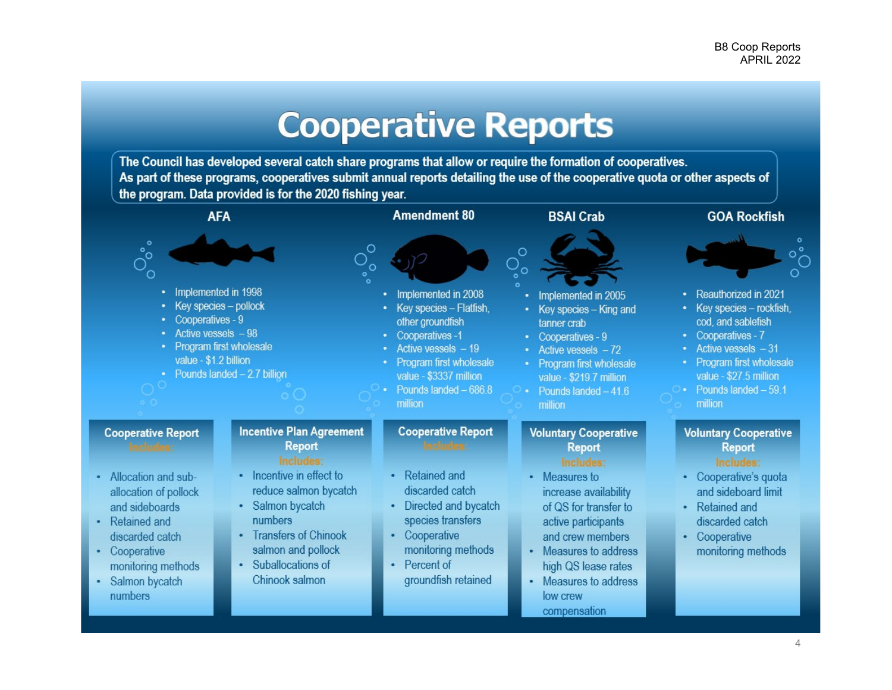

The Council has developed several catch share programs that allow or require the formation of cooperatives. As part of these programs, cooperatives submit annual reports detailing the use of the cooperative guota or other aspects of the program. Data provided is for the 2020 fishing year.

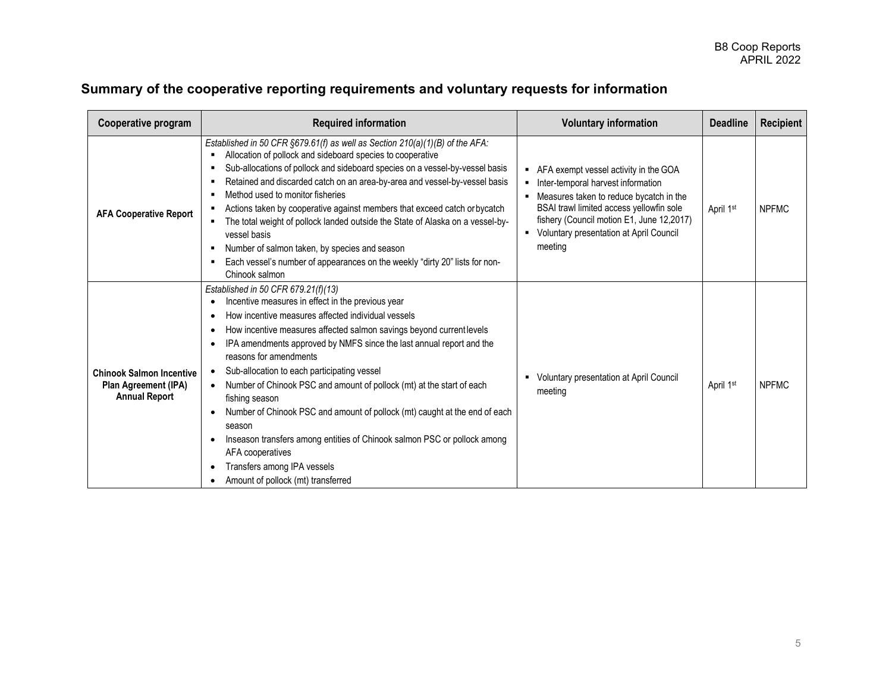## **Summary of the cooperative reporting requirements and voluntary requests for information**

| Cooperative program                                                             | <b>Required information</b>                                                                                                                                                                                                                                                                                                                                                                                                                                                                                                                                                                                                                                                                                                                                                                                     | <b>Voluntary information</b>                                                                                                                                                                                                                                               | <b>Deadline</b>       | <b>Recipient</b> |
|---------------------------------------------------------------------------------|-----------------------------------------------------------------------------------------------------------------------------------------------------------------------------------------------------------------------------------------------------------------------------------------------------------------------------------------------------------------------------------------------------------------------------------------------------------------------------------------------------------------------------------------------------------------------------------------------------------------------------------------------------------------------------------------------------------------------------------------------------------------------------------------------------------------|----------------------------------------------------------------------------------------------------------------------------------------------------------------------------------------------------------------------------------------------------------------------------|-----------------------|------------------|
| <b>AFA Cooperative Report</b>                                                   | Established in 50 CFR $\S679.61(f)$ as well as Section 210(a)(1)(B) of the AFA:<br>Allocation of pollock and sideboard species to cooperative<br>٠<br>Sub-allocations of pollock and sideboard species on a vessel-by-vessel basis<br>٠<br>Retained and discarded catch on an area-by-area and vessel-by-vessel basis<br>٠<br>Method used to monitor fisheries<br>Actions taken by cooperative against members that exceed catch or bycatch<br>The total weight of pollock landed outside the State of Alaska on a vessel-by-<br>٠<br>vessel basis<br>Number of salmon taken, by species and season<br>٠<br>Each vessel's number of appearances on the weekly "dirty 20" lists for non-<br>٠<br>Chinook salmon                                                                                                  | AFA exempt vessel activity in the GOA<br>Inter-temporal harvest information<br>Measures taken to reduce bycatch in the<br>BSAI trawl limited access yellowfin sole<br>fishery (Council motion E1, June 12,2017)<br>Voluntary presentation at April Council<br>٠<br>meeting | April 1st             | <b>NPFMC</b>     |
| <b>Chinook Salmon Incentive</b><br>Plan Agreement (IPA)<br><b>Annual Report</b> | Established in 50 CFR 679.21(f)(13)<br>Incentive measures in effect in the previous year<br>$\bullet$<br>How incentive measures affected individual vessels<br>$\bullet$<br>How incentive measures affected salmon savings beyond current levels<br>٠<br>IPA amendments approved by NMFS since the last annual report and the<br>$\bullet$<br>reasons for amendments<br>Sub-allocation to each participating vessel<br>$\bullet$<br>Number of Chinook PSC and amount of pollock (mt) at the start of each<br>$\bullet$<br>fishing season<br>Number of Chinook PSC and amount of pollock (mt) caught at the end of each<br>season<br>Inseason transfers among entities of Chinook salmon PSC or pollock among<br>AFA cooperatives<br>Transfers among IPA vessels<br>٠<br>Amount of pollock (mt) transferred<br>٠ | Voluntary presentation at April Council<br>meeting                                                                                                                                                                                                                         | April 1 <sup>st</sup> | <b>NPFMC</b>     |